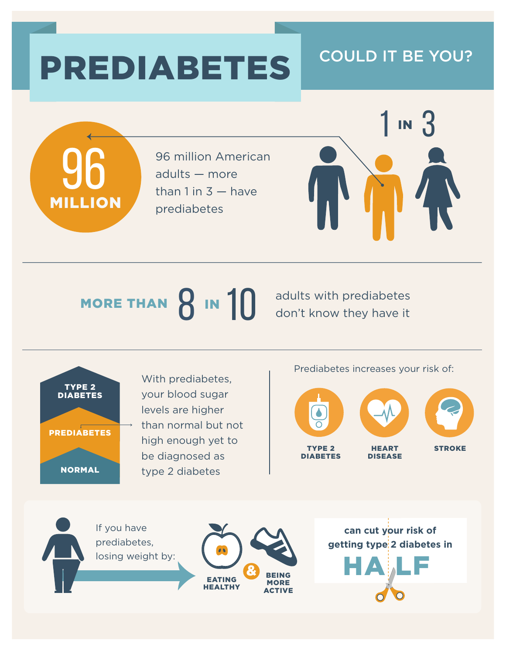# PREDIABETES COULD IT BE YOU?



96 million American adults — more than  $1$  in  $3 -$  have prediabetes



#### adults with prediabetes don't know they have it MORE THAN  $\beta$  in  $10$



With prediabetes, your blood sugar levels are higher than normal but not high enough yet to be diagnosed as type 2 diabetes

Prediabetes increases your risk of: